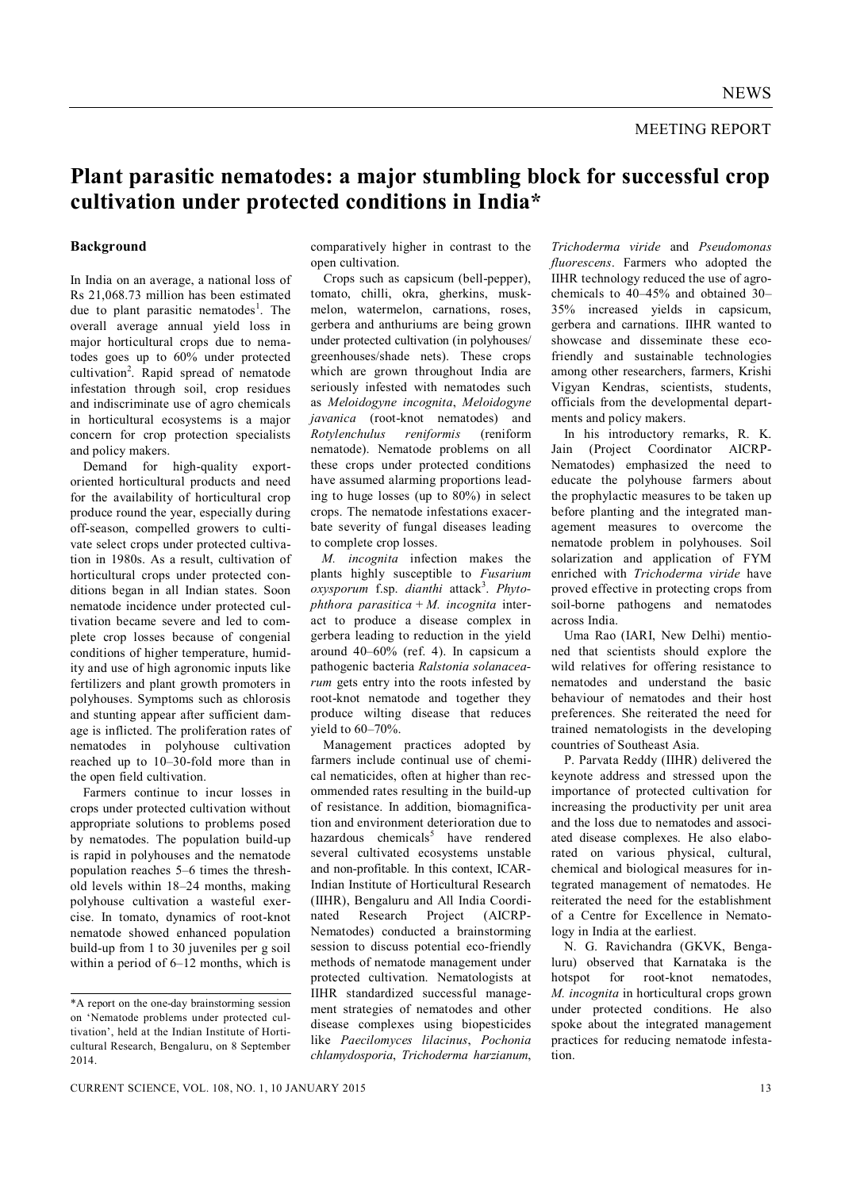## **Plant parasitic nematodes: a major stumbling block for successful crop cultivation under protected conditions in India\***

## **Background**

In India on an average, a national loss of Rs 21,068.73 million has been estimated due to plant parasitic nematodes<sup>1</sup>. The overall average annual yield loss in major horticultural crops due to nematodes goes up to 60% under protected cultivation<sup>2</sup>. Rapid spread of nematode infestation through soil, crop residues and indiscriminate use of agro chemicals in horticultural ecosystems is a major concern for crop protection specialists and policy makers.

Demand for high-quality exportoriented horticultural products and need for the availability of horticultural crop produce round the year, especially during off-season, compelled growers to cultivate select crops under protected cultivation in 1980s. As a result, cultivation of horticultural crops under protected conditions began in all Indian states. Soon nematode incidence under protected cultivation became severe and led to complete crop losses because of congenial conditions of higher temperature, humidity and use of high agronomic inputs like fertilizers and plant growth promoters in polyhouses. Symptoms such as chlorosis and stunting appear after sufficient damage is inflicted. The proliferation rates of nematodes in polyhouse cultivation reached up to 10–30-fold more than in the open field cultivation.

Farmers continue to incur losses in crops under protected cultivation without appropriate solutions to problems posed by nematodes. The population build-up is rapid in polyhouses and the nematode population reaches 5–6 times the threshold levels within 18–24 months, making polyhouse cultivation a wasteful exercise. In tomato, dynamics of root-knot nematode showed enhanced population build-up from 1 to 30 juveniles per g soil within a period of 6–12 months, which is comparatively higher in contrast to the open cultivation.

Crops such as capsicum (bell-pepper), tomato, chilli, okra, gherkins, muskmelon, watermelon, carnations, roses, gerbera and anthuriums are being grown under protected cultivation (in polyhouses/ greenhouses/shade nets). These crops which are grown throughout India are seriously infested with nematodes such as *Meloidogyne incognita*, *Meloidogyne javanica* (root-knot nematodes) and *Rotylenchulus reniformis* (reniform nematode). Nematode problems on all these crops under protected conditions have assumed alarming proportions leading to huge losses (up to 80%) in select crops. The nematode infestations exacerbate severity of fungal diseases leading to complete crop losses.

*M. incognita* infection makes the plants highly susceptible to *Fusarium*   $oxygenorum$  f.sp. *dianthi* attack<sup>3</sup>. Phyto*phthora parasitica* + *M. incognita* interact to produce a disease complex in gerbera leading to reduction in the yield around 40–60% (ref. 4). In capsicum a pathogenic bacteria *Ralstonia solanacearum* gets entry into the roots infested by root-knot nematode and together they produce wilting disease that reduces yield to 60–70%.

Management practices adopted by farmers include continual use of chemical nematicides, often at higher than recommended rates resulting in the build-up of resistance. In addition, biomagnification and environment deterioration due to hazardous chemicals<sup>5</sup> have rendered several cultivated ecosystems unstable and non-profitable. In this context, ICAR-Indian Institute of Horticultural Research (IIHR), Bengaluru and All India Coordinated Research Project (AICRP-Nematodes) conducted a brainstorming session to discuss potential eco-friendly methods of nematode management under protected cultivation. Nematologists at IIHR standardized successful management strategies of nematodes and other disease complexes using biopesticides like *Paecilomyces lilacinus*, *Pochonia chlamydosporia*, *Trichoderma harzianum*,

*Trichoderma viride* and *Pseudomonas fluorescens*. Farmers who adopted the IIHR technology reduced the use of agrochemicals to 40–45% and obtained 30– 35% increased yields in capsicum, gerbera and carnations. IIHR wanted to showcase and disseminate these ecofriendly and sustainable technologies among other researchers, farmers, Krishi Vigyan Kendras, scientists, students, officials from the developmental departments and policy makers.

In his introductory remarks, R. K. Jain (Project Coordinator AICRP-Nematodes) emphasized the need to educate the polyhouse farmers about the prophylactic measures to be taken up before planting and the integrated management measures to overcome the nematode problem in polyhouses. Soil solarization and application of FYM enriched with *Trichoderma viride* have proved effective in protecting crops from soil-borne pathogens and nematodes across India.

Uma Rao (IARI, New Delhi) mentioned that scientists should explore the wild relatives for offering resistance to nematodes and understand the basic behaviour of nematodes and their host preferences. She reiterated the need for trained nematologists in the developing countries of Southeast Asia.

P. Parvata Reddy (IIHR) delivered the keynote address and stressed upon the importance of protected cultivation for increasing the productivity per unit area and the loss due to nematodes and associated disease complexes. He also elaborated on various physical, cultural, chemical and biological measures for integrated management of nematodes. He reiterated the need for the establishment of a Centre for Excellence in Nematology in India at the earliest.

N. G. Ravichandra (GKVK, Bengaluru) observed that Karnataka is the hotspot for root-knot nematodes, *M. incognita* in horticultural crops grown under protected conditions. He also spoke about the integrated management practices for reducing nematode infestation.

<sup>\*</sup>A report on the one-day brainstorming session on 'Nematode problems under protected cultivation', held at the Indian Institute of Horticultural Research, Bengaluru, on 8 September 2014.